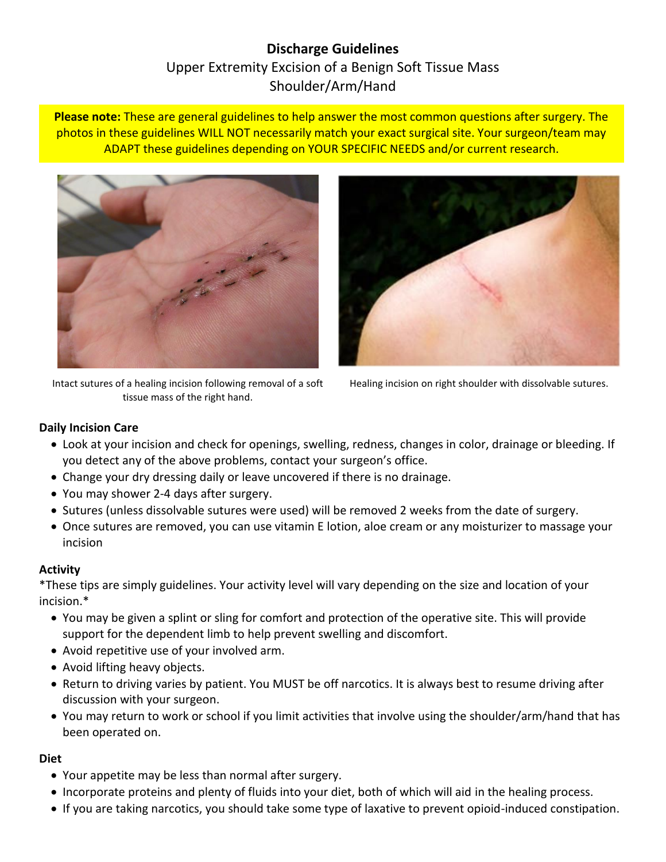# **Discharge Guidelines** Upper Extremity Excision of a Benign Soft Tissue Mass Shoulder/Arm/Hand

**Please note:** These are general guidelines to help answer the most common questions after surgery. The photos in these guidelines WILL NOT necessarily match your exact surgical site. Your surgeon/team may ADAPT these guidelines depending on YOUR SPECIFIC NEEDS and/or current research.



Intact sutures of a healing incision following removal of a soft tissue mass of the right hand.



Healing incision on right shoulder with dissolvable sutures.

## **Daily Incision Care**

- Look at your incision and check for openings, swelling, redness, changes in color, drainage or bleeding. If you detect any of the above problems, contact your surgeon's office.
- Change your dry dressing daily or leave uncovered if there is no drainage.
- You may shower 2-4 days after surgery.
- Sutures (unless dissolvable sutures were used) will be removed 2 weeks from the date of surgery.
- Once sutures are removed, you can use vitamin E lotion, aloe cream or any moisturizer to massage your incision

#### **Activity**

\*These tips are simply guidelines. Your activity level will vary depending on the size and location of your incision.\*

- You may be given a splint or sling for comfort and protection of the operative site. This will provide support for the dependent limb to help prevent swelling and discomfort.
- Avoid repetitive use of your involved arm.
- Avoid lifting heavy objects.
- Return to driving varies by patient. You MUST be off narcotics. It is always best to resume driving after discussion with your surgeon.
- You may return to work or school if you limit activities that involve using the shoulder/arm/hand that has been operated on.

#### **Diet**

- Your appetite may be less than normal after surgery.
- Incorporate proteins and plenty of fluids into your diet, both of which will aid in the healing process.
- If you are taking narcotics, you should take some type of laxative to prevent opioid-induced constipation.